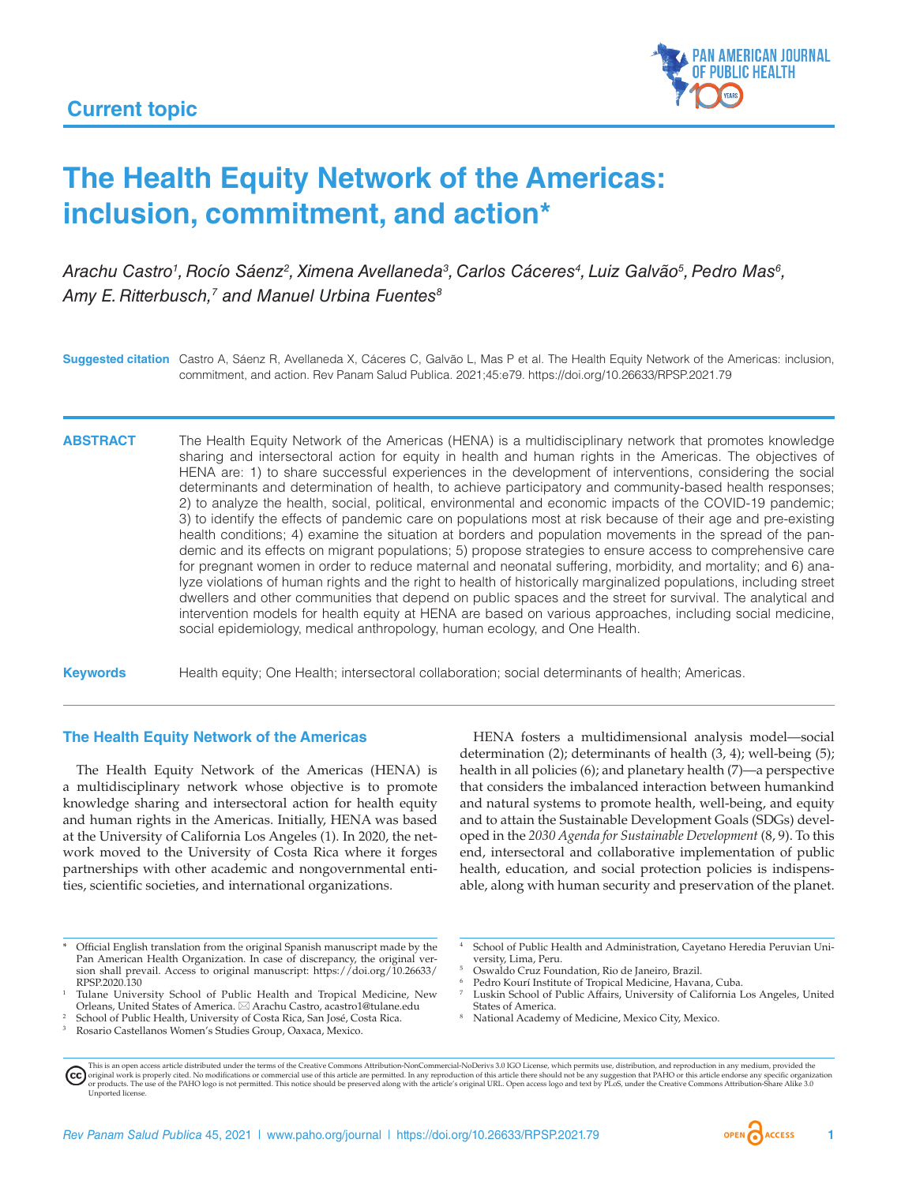

# **The Health Equity Network of the Americas: inclusion, commitment, and action\***

Arachu Castro<sup>1</sup>, Rocío Sáenz<sup>2</sup>, Ximena Avellaneda<sup>3</sup>, Carlos Cáceres<sup>4</sup>, Luiz Galvão<sup>5</sup>, Pedro Mas<sup>6</sup>, Amy E. Ritterbusch,<sup>7</sup> and Manuel Urbina Fuentes<sup>8</sup>

**Suggested citation** Castro A, Sáenz R, Avellaneda X, Cáceres C, Galvão L, Mas P et al. The Health Equity Network of the Americas: inclusion, commitment, and action. Rev Panam Salud Publica. 2021;45:e79.<https://doi.org/10.26633/RPSP.2021.79>

**ABSTRACT** The Health Equity Network of the Americas (HENA) is a multidisciplinary network that promotes knowledge sharing and intersectoral action for equity in health and human rights in the Americas. The objectives of HENA are: 1) to share successful experiences in the development of interventions, considering the social determinants and determination of health, to achieve participatory and community-based health responses; 2) to analyze the health, social, political, environmental and economic impacts of the COVID-19 pandemic; 3) to identify the effects of pandemic care on populations most at risk because of their age and pre-existing health conditions; 4) examine the situation at borders and population movements in the spread of the pandemic and its effects on migrant populations; 5) propose strategies to ensure access to comprehensive care for pregnant women in order to reduce maternal and neonatal suffering, morbidity, and mortality; and 6) analyze violations of human rights and the right to health of historically marginalized populations, including street dwellers and other communities that depend on public spaces and the street for survival. The analytical and intervention models for health equity at HENA are based on various approaches, including social medicine, social epidemiology, medical anthropology, human ecology, and One Health.

**Keywords** Health equity; One Health; intersectoral collaboration; social determinants of health; Americas.

### **The Health Equity Network of the Americas**

The Health Equity Network of the Americas (HENA) is a multidisciplinary network whose objective is to promote knowledge sharing and intersectoral action for health equity and human rights in the Americas. Initially, HENA was based at the University of California Los Angeles (1). In 2020, the network moved to the University of Costa Rica where it forges partnerships with other academic and nongovernmental entities, scientific societies, and international organizations.

HENA fosters a multidimensional analysis model—social determination (2); determinants of health (3, 4); well-being (5); health in all policies (6); and planetary health (7)—a perspective that considers the imbalanced interaction between humankind and natural systems to promote health, well-being, and equity and to attain the Sustainable Development Goals (SDGs) developed in the *2030 Agenda for Sustainable Development* (8, 9). To this end, intersectoral and collaborative implementation of public health, education, and social protection policies is indispensable, along with human security and preservation of the planet.

- Official English translation from the original Spanish manuscript made by the Pan American Health Organization. In case of discrepancy, the original version shall prevail. Access to original manuscript: [https://doi.org/10.26633/](https://doi.org/10.26633/RPSP.2020.130) [RPSP.2020.130](https://doi.org/10.26633/RPSP.2020.130)
- <sup>1</sup> Tulane University School of Public Health and Tropical Medicine, New Orleans, United States of America. \* Arachu Castro, [acastro1@tulane.edu](mailto:acastro1@tulane.edu)
- <sup>2</sup> School of Public Health, University of Costa Rica, San José, Costa Rica.
- <sup>3</sup> Rosario Castellanos Women's Studies Group, Oaxaca, Mexico.
- <sup>4</sup> School of Public Health and Administration, Cayetano Heredia Peruvian University, Lima, Peru.
- <sup>5</sup> Oswaldo Cruz Foundation, Rio de Janeiro, Brazil.
- Pedro Kourí Institute of Tropical Medicine, Havana, Cuba.
- Luskin School of Public Affairs, University of California Los Angeles, United States of America.
- National Academy of Medicine, Mexico City, Mexico.

This is an open access article distributed under the terms of the [Creative Commons Attribution-NonCommercial-NoDerivs 3.0 IGO](https://creativecommons.org/licenses/by-nc-nd/3.0/igo/legalcode) License, which permits use, distribution, and reproduction in any medium, provided the original work is properly cited. No modifications or commercial use of this article are permitted. In any reproduction of this article there should not be any suggestion that PAHO or this article endorse any specific organ [Unported](https://creativecommons.org/licenses/by-sa/3.0/deed.en) license.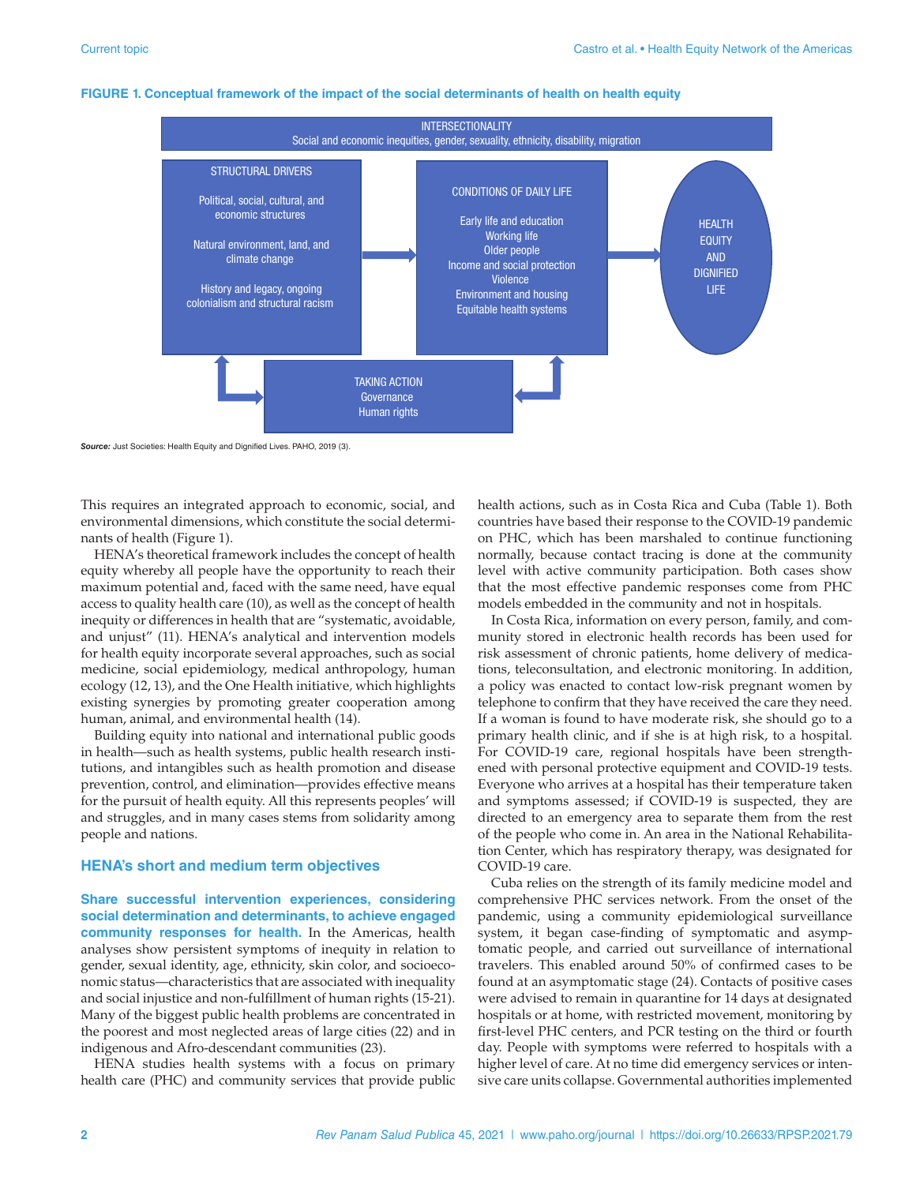

#### **FIGURE 1. Conceptual framework of the impact of the social determinants of health on health equity**

*Source:* Just Societies: Health Equity and Dignified Lives. PAHO, 2019 (3).

This requires an integrated approach to economic, social, and environmental dimensions, which constitute the social determinants of health (Figure 1).

HENA's theoretical framework includes the concept of health equity whereby all people have the opportunity to reach their maximum potential and, faced with the same need, have equal access to quality health care (10), as well as the concept of health inequity or differences in health that are "systematic, avoidable, and unjust" (11). HENA's analytical and intervention models for health equity incorporate several approaches, such as social medicine, social epidemiology, medical anthropology, human ecology (12, 13), and the One Health initiative*,* which highlights existing synergies by promoting greater cooperation among human, animal, and environmental health (14).

Building equity into national and international public goods in health—such as health systems, public health research institutions, and intangibles such as health promotion and disease prevention, control, and elimination—provides effective means for the pursuit of health equity. All this represents peoples' will and struggles, and in many cases stems from solidarity among people and nations.

#### **HENA's short and medium term objectives**

**Share successful intervention experiences, considering social determination and determinants, to achieve engaged community responses for health.** In the Americas, health analyses show persistent symptoms of inequity in relation to gender, sexual identity, age, ethnicity, skin color, and socioeconomic status––characteristics that are associated with inequality and social injustice and non-fulfillment of human rights (15-21). Many of the biggest public health problems are concentrated in the poorest and most neglected areas of large cities (22) and in indigenous and Afro-descendant communities (23).

HENA studies health systems with a focus on primary health care (PHC) and community services that provide public health actions, such as in Costa Rica and Cuba (Table 1). Both countries have based their response to the COVID-19 pandemic on PHC, which has been marshaled to continue functioning normally, because contact tracing is done at the community level with active community participation. Both cases show that the most effective pandemic responses come from PHC models embedded in the community and not in hospitals.

In Costa Rica, information on every person, family, and community stored in electronic health records has been used for risk assessment of chronic patients, home delivery of medications, teleconsultation, and electronic monitoring. In addition, a policy was enacted to contact low-risk pregnant women by telephone to confirm that they have received the care they need. If a woman is found to have moderate risk, she should go to a primary health clinic, and if she is at high risk, to a hospital. For COVID-19 care, regional hospitals have been strengthened with personal protective equipment and COVID-19 tests. Everyone who arrives at a hospital has their temperature taken and symptoms assessed; if COVID-19 is suspected, they are directed to an emergency area to separate them from the rest of the people who come in. An area in the National Rehabilitation Center, which has respiratory therapy, was designated for COVID-19 care.

Cuba relies on the strength of its family medicine model and comprehensive PHC services network. From the onset of the pandemic, using a community epidemiological surveillance system, it began case-finding of symptomatic and asymptomatic people, and carried out surveillance of international travelers. This enabled around 50% of confirmed cases to be found at an asymptomatic stage (24). Contacts of positive cases were advised to remain in quarantine for 14 days at designated hospitals or at home, with restricted movement, monitoring by first-level PHC centers, and PCR testing on the third or fourth day. People with symptoms were referred to hospitals with a higher level of care. At no time did emergency services or intensive care units collapse. Governmental authorities implemented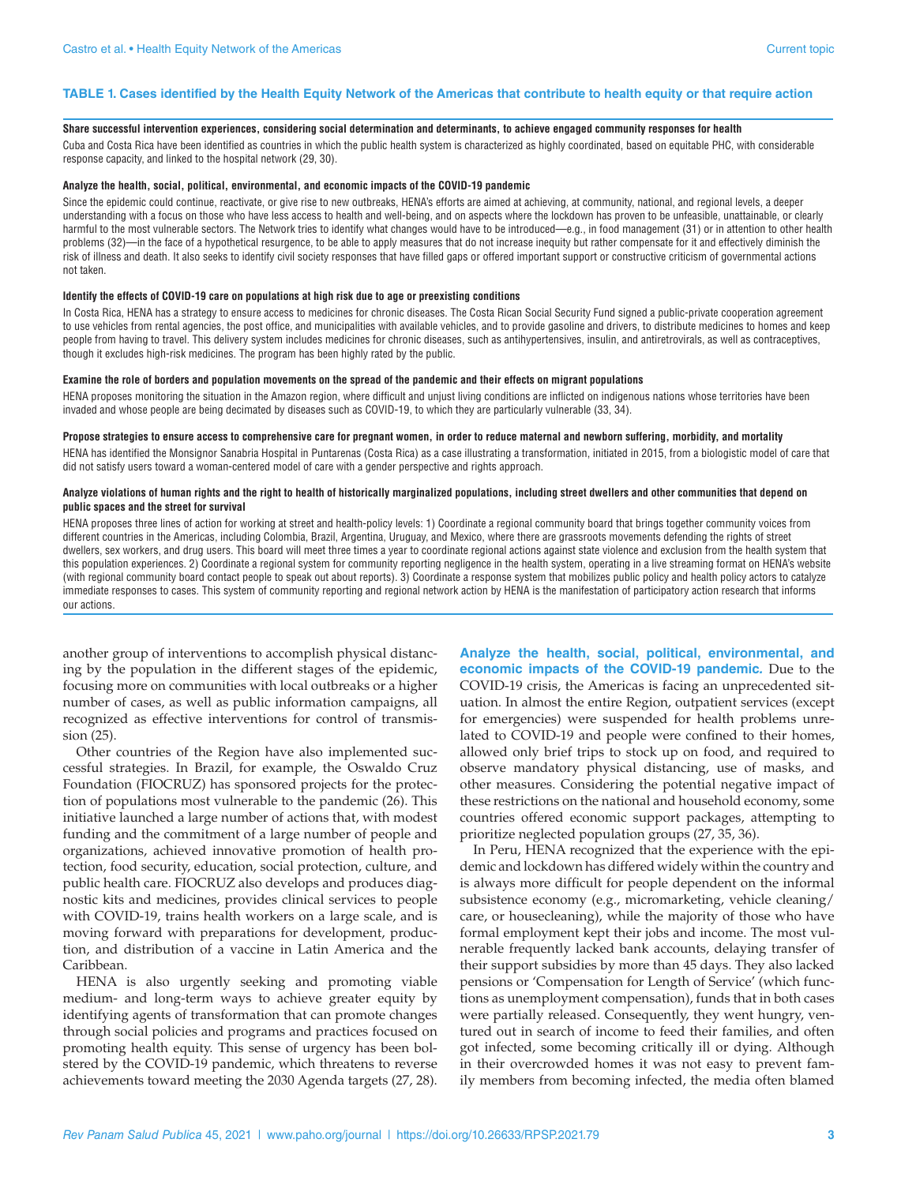#### **TABLE 1. Cases identified by the Health Equity Network of the Americas that contribute to health equity or that require action**

#### **Share successful intervention experiences, considering social determination and determinants, to achieve engaged community responses for health**

Cuba and Costa Rica have been identified as countries in which the public health system is characterized as highly coordinated, based on equitable PHC, with considerable response capacity, and linked to the hospital network (29, 30).

#### **Analyze the health, social, political, environmental, and economic impacts of the COVID-19 pandemic**

Since the epidemic could continue, reactivate, or give rise to new outbreaks, HENA's efforts are aimed at achieving, at community, national, and regional levels, a deeper understanding with a focus on those who have less access to health and well-being, and on aspects where the lockdown has proven to be unfeasible, unattainable, or clearly harmful to the most vulnerable sectors. The Network tries to identify what changes would have to be introduced—e.g., in food management (31) or in attention to other health problems (32)—in the face of a hypothetical resurgence, to be able to apply measures that do not increase inequity but rather compensate for it and effectively diminish the risk of illness and death. It also seeks to identify civil society responses that have filled gaps or offered important support or constructive criticism of governmental actions not taken.

#### **Identify the effects of COVID-19 care on populations at high risk due to age or preexisting conditions**

In Costa Rica, HENA has a strategy to ensure access to medicines for chronic diseases. The Costa Rican Social Security Fund signed a public-private cooperation agreement to use vehicles from rental agencies, the post office, and municipalities with available vehicles, and to provide gasoline and drivers, to distribute medicines to homes and keep people from having to travel. This delivery system includes medicines for chronic diseases, such as antihypertensives, insulin, and antiretrovirals, as well as contraceptives, though it excludes high-risk medicines. The program has been highly rated by the public.

#### **Examine the role of borders and population movements on the spread of the pandemic and their effects on migrant populations**

HENA proposes monitoring the situation in the Amazon region, where difficult and unjust living conditions are inflicted on indigenous nations whose territories have been invaded and whose people are being decimated by diseases such as COVID-19, to which they are particularly vulnerable (33, 34).

#### **Propose strategies to ensure access to comprehensive care for pregnant women, in order to reduce maternal and newborn suffering, morbidity, and mortality**

HENA has identified the Monsignor Sanabria Hospital in Puntarenas (Costa Rica) as a case illustrating a transformation, initiated in 2015, from a biologistic model of care that did not satisfy users toward a woman-centered model of care with a gender perspective and rights approach.

#### **Analyze violations of human rights and the right to health of historically marginalized populations, including street dwellers and other communities that depend on public spaces and the street for survival**

HENA proposes three lines of action for working at street and health-policy levels: 1) Coordinate a regional community board that brings together community voices from different countries in the Americas, including Colombia, Brazil, Argentina, Uruguay, and Mexico, where there are grassroots movements defending the rights of street dwellers, sex workers, and drug users. This board will meet three times a year to coordinate regional actions against state violence and exclusion from the health system that this population experiences. 2) Coordinate a regional system for community reporting negligence in the health system, operating in a live streaming format on HENA's website (with regional community board contact people to speak out about reports). 3) Coordinate a response system that mobilizes public policy and health policy actors to catalyze immediate responses to cases. This system of community reporting and regional network action by HENA is the manifestation of participatory action research that informs our actions.

another group of interventions to accomplish physical distancing by the population in the different stages of the epidemic, focusing more on communities with local outbreaks or a higher number of cases, as well as public information campaigns, all recognized as effective interventions for control of transmission (25).

Other countries of the Region have also implemented successful strategies. In Brazil, for example, the Oswaldo Cruz Foundation (FIOCRUZ) has sponsored projects for the protection of populations most vulnerable to the pandemic (26). This initiative launched a large number of actions that, with modest funding and the commitment of a large number of people and organizations, achieved innovative promotion of health protection, food security, education, social protection, culture, and public health care. FIOCRUZ also develops and produces diagnostic kits and medicines, provides clinical services to people with COVID-19, trains health workers on a large scale, and is moving forward with preparations for development, production, and distribution of a vaccine in Latin America and the Caribbean.

HENA is also urgently seeking and promoting viable medium- and long-term ways to achieve greater equity by identifying agents of transformation that can promote changes through social policies and programs and practices focused on promoting health equity. This sense of urgency has been bolstered by the COVID-19 pandemic, which threatens to reverse achievements toward meeting the 2030 Agenda targets (27, 28).

**Analyze the health, social, political, environmental, and economic impacts of the COVID-19 pandemic***.* Due to the COVID-19 crisis, the Americas is facing an unprecedented situation. In almost the entire Region, outpatient services (except for emergencies) were suspended for health problems unrelated to COVID-19 and people were confined to their homes, allowed only brief trips to stock up on food, and required to observe mandatory physical distancing, use of masks, and other measures. Considering the potential negative impact of these restrictions on the national and household economy, some countries offered economic support packages, attempting to prioritize neglected population groups (27, 35, 36).

In Peru, HENA recognized that the experience with the epidemic and lockdown has differed widely within the country and is always more difficult for people dependent on the informal subsistence economy (e.g., micromarketing, vehicle cleaning/ care, or housecleaning), while the majority of those who have formal employment kept their jobs and income. The most vulnerable frequently lacked bank accounts, delaying transfer of their support subsidies by more than 45 days. They also lacked pensions or 'Compensation for Length of Service' (which functions as unemployment compensation), funds that in both cases were partially released. Consequently, they went hungry, ventured out in search of income to feed their families, and often got infected, some becoming critically ill or dying. Although in their overcrowded homes it was not easy to prevent family members from becoming infected, the media often blamed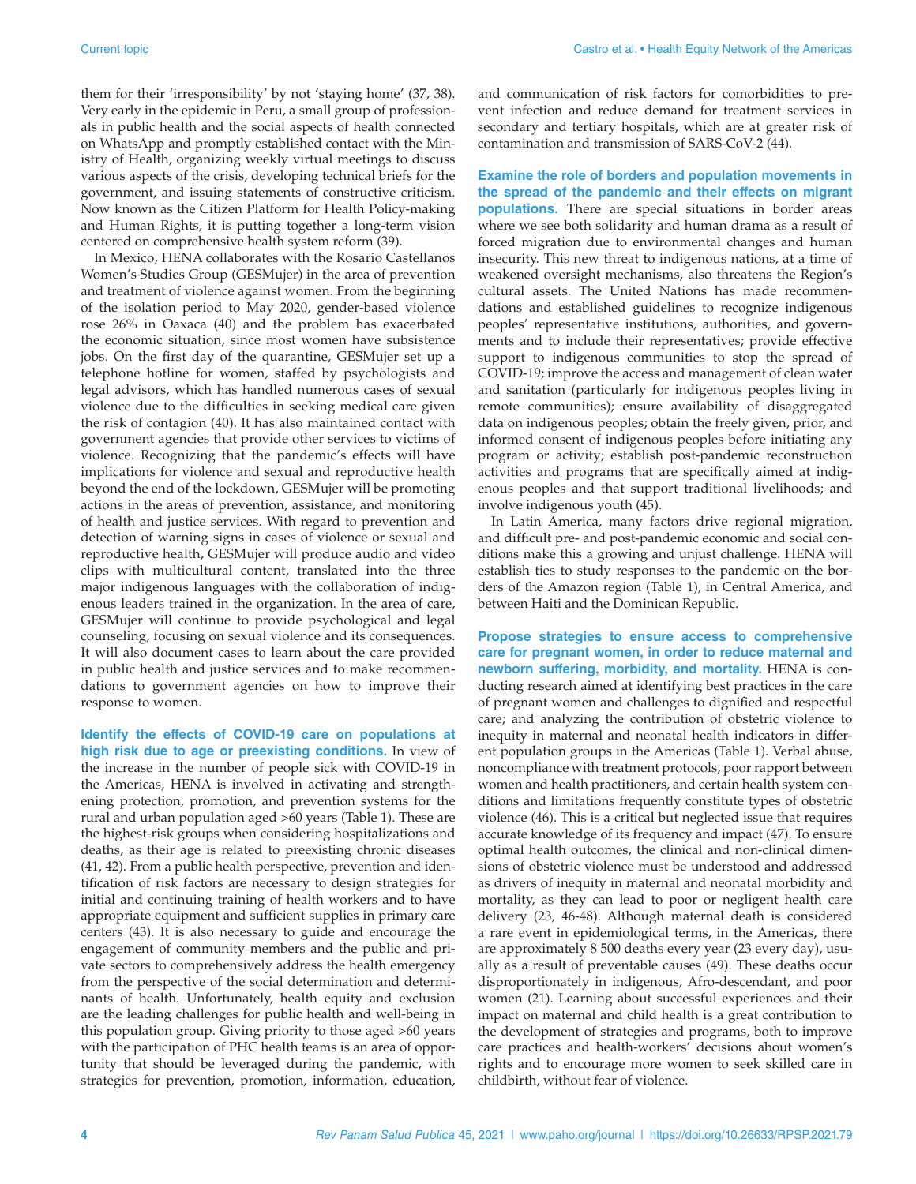them for their 'irresponsibility' by not 'staying home' (37, 38). Very early in the epidemic in Peru, a small group of professionals in public health and the social aspects of health connected on WhatsApp and promptly established contact with the Ministry of Health, organizing weekly virtual meetings to discuss various aspects of the crisis, developing technical briefs for the government, and issuing statements of constructive criticism. Now known as the Citizen Platform for Health Policy-making and Human Rights, it is putting together a long-term vision centered on comprehensive health system reform (39).

In Mexico, HENA collaborates with the Rosario Castellanos Women's Studies Group (GESMujer) in the area of prevention and treatment of violence against women. From the beginning of the isolation period to May 2020, gender-based violence rose 26% in Oaxaca (40) and the problem has exacerbated the economic situation, since most women have subsistence jobs. On the first day of the quarantine, GESMujer set up a telephone hotline for women, staffed by psychologists and legal advisors, which has handled numerous cases of sexual violence due to the difficulties in seeking medical care given the risk of contagion (40). It has also maintained contact with government agencies that provide other services to victims of violence. Recognizing that the pandemic's effects will have implications for violence and sexual and reproductive health beyond the end of the lockdown, GESMujer will be promoting actions in the areas of prevention, assistance, and monitoring of health and justice services. With regard to prevention and detection of warning signs in cases of violence or sexual and reproductive health, GESMujer will produce audio and video clips with multicultural content, translated into the three major indigenous languages with the collaboration of indigenous leaders trained in the organization. In the area of care, GESMujer will continue to provide psychological and legal counseling, focusing on sexual violence and its consequences. It will also document cases to learn about the care provided in public health and justice services and to make recommendations to government agencies on how to improve their response to women.

**Identify the effects of COVID-19 care on populations at high risk due to age or preexisting conditions.** In view of the increase in the number of people sick with COVID-19 in the Americas, HENA is involved in activating and strengthening protection, promotion, and prevention systems for the rural and urban population aged >60 years (Table 1). These are the highest-risk groups when considering hospitalizations and deaths, as their age is related to preexisting chronic diseases (41, 42). From a public health perspective, prevention and identification of risk factors are necessary to design strategies for initial and continuing training of health workers and to have appropriate equipment and sufficient supplies in primary care centers (43). It is also necessary to guide and encourage the engagement of community members and the public and private sectors to comprehensively address the health emergency from the perspective of the social determination and determinants of health. Unfortunately, health equity and exclusion are the leading challenges for public health and well-being in this population group. Giving priority to those aged >60 years with the participation of PHC health teams is an area of opportunity that should be leveraged during the pandemic, with strategies for prevention, promotion, information, education, and communication of risk factors for comorbidities to prevent infection and reduce demand for treatment services in secondary and tertiary hospitals, which are at greater risk of contamination and transmission of SARS-CoV-2 (44).

**Examine the role of borders and population movements in the spread of the pandemic and their effects on migrant populations.** There are special situations in border areas where we see both solidarity and human drama as a result of forced migration due to environmental changes and human insecurity. This new threat to indigenous nations, at a time of weakened oversight mechanisms, also threatens the Region's cultural assets. The United Nations has made recommendations and established guidelines to recognize indigenous peoples' representative institutions, authorities, and governments and to include their representatives; provide effective support to indigenous communities to stop the spread of COVID-19; improve the access and management of clean water and sanitation (particularly for indigenous peoples living in remote communities); ensure availability of disaggregated data on indigenous peoples; obtain the freely given, prior, and informed consent of indigenous peoples before initiating any program or activity; establish post-pandemic reconstruction activities and programs that are specifically aimed at indigenous peoples and that support traditional livelihoods; and involve indigenous youth (45).

In Latin America, many factors drive regional migration, and difficult pre- and post-pandemic economic and social conditions make this a growing and unjust challenge. HENA will establish ties to study responses to the pandemic on the borders of the Amazon region (Table 1), in Central America, and between Haiti and the Dominican Republic.

**Propose strategies to ensure access to comprehensive care for pregnant women, in order to reduce maternal and newborn suffering, morbidity, and mortality.** HENA is conducting research aimed at identifying best practices in the care of pregnant women and challenges to dignified and respectful care; and analyzing the contribution of obstetric violence to inequity in maternal and neonatal health indicators in different population groups in the Americas (Table 1). Verbal abuse, noncompliance with treatment protocols, poor rapport between women and health practitioners, and certain health system conditions and limitations frequently constitute types of obstetric violence (46). This is a critical but neglected issue that requires accurate knowledge of its frequency and impact (47). To ensure optimal health outcomes, the clinical and non-clinical dimensions of obstetric violence must be understood and addressed as drivers of inequity in maternal and neonatal morbidity and mortality, as they can lead to poor or negligent health care delivery (23, 46-48). Although maternal death is considered a rare event in epidemiological terms, in the Americas, there are approximately 8 500 deaths every year (23 every day), usually as a result of preventable causes (49). These deaths occur disproportionately in indigenous, Afro-descendant, and poor women (21). Learning about successful experiences and their impact on maternal and child health is a great contribution to the development of strategies and programs, both to improve care practices and health-workers' decisions about women's rights and to encourage more women to seek skilled care in childbirth, without fear of violence.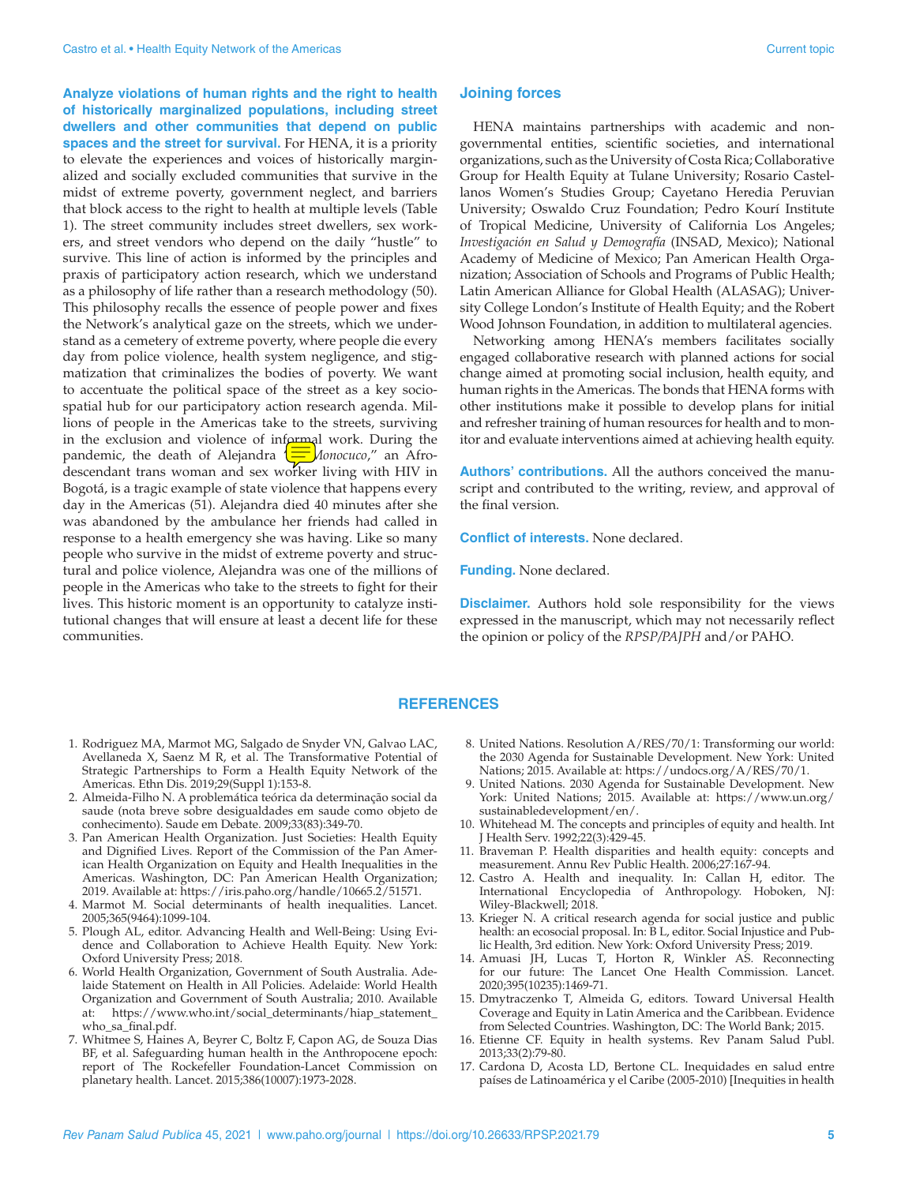**Analyze violations of human rights and the right to health of historically marginalized populations, including street dwellers and other communities that depend on public spaces and the street for survival.** For HENA, it is a priority to elevate the experiences and voices of historically marginalized and socially excluded communities that survive in the midst of extreme poverty, government neglect, and barriers that block access to the right to health at multiple levels (Table 1). The street community includes street dwellers, sex workers, and street vendors who depend on the daily "hustle" to survive. This line of action is informed by the principles and praxis of participatory action research, which we understand as a philosophy of life rather than a research methodology (50). This philosophy recalls the essence of people power and fixes the Network's analytical gaze on the streets, which we understand as a cemetery of extreme poverty, where people die every day from police violence, health system negligence, and stigmatization that criminalizes the bodies of poverty. We want to accentuate the political space of the street as a key sociospatial hub for our participatory action research agenda. Millions of people in the Americas take to the streets, surviving in the exclusion and violence of informal work. During the pandemic, the death of Alejandra (**I)** *Monocuco*," an Afrodescendant trans woman and sex worker living with HIV in Bogotá, is a tragic example of state violence that happens every day in the Americas (51). Alejandra died 40 minutes after she was abandoned by the ambulance her friends had called in response to a health emergency she was having. Like so many people who survive in the midst of extreme poverty and structural and police violence, Alejandra was one of the millions of people in the Americas who take to the streets to fight for their lives. This historic moment is an opportunity to catalyze institutional changes that will ensure at least a decent life for these communities.

#### **Joining forces**

HENA maintains partnerships with academic and nongovernmental entities, scientific societies, and international organizations, such as the University of Costa Rica; Collaborative Group for Health Equity at Tulane University; Rosario Castellanos Women's Studies Group; Cayetano Heredia Peruvian University; Oswaldo Cruz Foundation; Pedro Kourí Institute of Tropical Medicine, University of California Los Angeles; *Investigación en Salud y Demografía* (INSAD, Mexico); National Academy of Medicine of Mexico; Pan American Health Organization; Association of Schools and Programs of Public Health; Latin American Alliance for Global Health (ALASAG); University College London's Institute of Health Equity; and the Robert Wood Johnson Foundation, in addition to multilateral agencies.

Networking among HENA's members facilitates socially engaged collaborative research with planned actions for social change aimed at promoting social inclusion, health equity, and human rights in the Americas. The bonds that HENA forms with other institutions make it possible to develop plans for initial and refresher training of human resources for health and to monitor and evaluate interventions aimed at achieving health equity.

**Authors' contributions.** All the authors conceived the manuscript and contributed to the writing, review, and approval of the final version.

**Conflict of interests.** None declared.

**Funding.** None declared.

**Disclaimer.** Authors hold sole responsibility for the views expressed in the manuscript, which may not necessarily reflect the opinion or policy of the *RPSP/PAJPH* and/or PAHO.

#### **REFERENCES**

- 1. Rodriguez MA, Marmot MG, Salgado de Snyder VN, Galvao LAC, Avellaneda X, Saenz M R, et al. The Transformative Potential of Strategic Partnerships to Form a Health Equity Network of the Americas. Ethn Dis. 2019;29(Suppl 1):153-8.
- 2. Almeida-Filho N. A problemática teórica da determinação social da saude (nota breve sobre desigualdades em saude como objeto de conhecimento). Saude em Debate. 2009;33(83):349-70.
- 3. Pan American Health Organization. Just Societies: Health Equity and Dignified Lives. Report of the Commission of the Pan American Health Organization on Equity and Health Inequalities in the Americas. Washington, DC: Pan American Health Organization; 2019. Available at: <https://iris.paho.org/handle/10665.2/51571>.
- 4. Marmot M. Social determinants of health inequalities. Lancet. 2005;365(9464):1099-104.
- 5. Plough AL, editor. Advancing Health and Well-Being: Using Evidence and Collaboration to Achieve Health Equity. New York: Oxford University Press; 2018.
- 6. World Health Organization, Government of South Australia. Adelaide Statement on Health in All Policies. Adelaide: World Health Organization and Government of South Australia; 2010. Available at: [https://www.who.int/social\\_determinants/hiap\\_statement\\_](https://www.who.int/social_determinants/hiap_statement_who_sa_final.pdf) [who\\_sa\\_final.pdf](https://www.who.int/social_determinants/hiap_statement_who_sa_final.pdf).
- 7. Whitmee S, Haines A, Beyrer C, Boltz F, Capon AG, de Souza Dias BF, et al. Safeguarding human health in the Anthropocene epoch: report of The Rockefeller Foundation-Lancet Commission on planetary health. Lancet. 2015;386(10007):1973-2028.
- 8. United Nations. Resolution A/RES/70/1: Transforming our world: the 2030 Agenda for Sustainable Development. New York: United Nations; 2015. Available at:<https://undocs.org/A/RES/70/1>.
- 9. United Nations. 2030 Agenda for Sustainable Development. New York: United Nations; 2015. Available at: [https://www.un.org/](https://www.un.org/sustainabledevelopment/en/) [sustainabledevelopment/en/](https://www.un.org/sustainabledevelopment/en/).
- 10. Whitehead M. The concepts and principles of equity and health. Int J Health Serv. 1992;22(3):429-45.
- 11. Braveman P. Health disparities and health equity: concepts and measurement. Annu Rev Public Health. 2006;27:167-94.
- 12. Castro A. Health and inequality. In: Callan H, editor. The International Encyclopedia of Anthropology. Hoboken, NJ: Wiley-Blackwell; 2018.
- 13. Krieger N. A critical research agenda for social justice and public health: an ecosocial proposal. In: B L, editor. Social Injustice and Public Health, 3rd edition. New York: Oxford University Press; 2019.
- 14. Amuasi JH, Lucas T, Horton R, Winkler AS. Reconnecting for our future: The Lancet One Health Commission. Lancet. 2020;395(10235):1469-71.
- 15. Dmytraczenko T, Almeida G, editors. Toward Universal Health Coverage and Equity in Latin America and the Caribbean. Evidence from Selected Countries. Washington, DC: The World Bank; 2015.
- 16. Etienne CF. Equity in health systems. Rev Panam Salud Publ. 2013;33(2):79-80.
- 17. Cardona D, Acosta LD, Bertone CL. Inequidades en salud entre países de Latinoamérica y el Caribe (2005-2010) [Inequities in health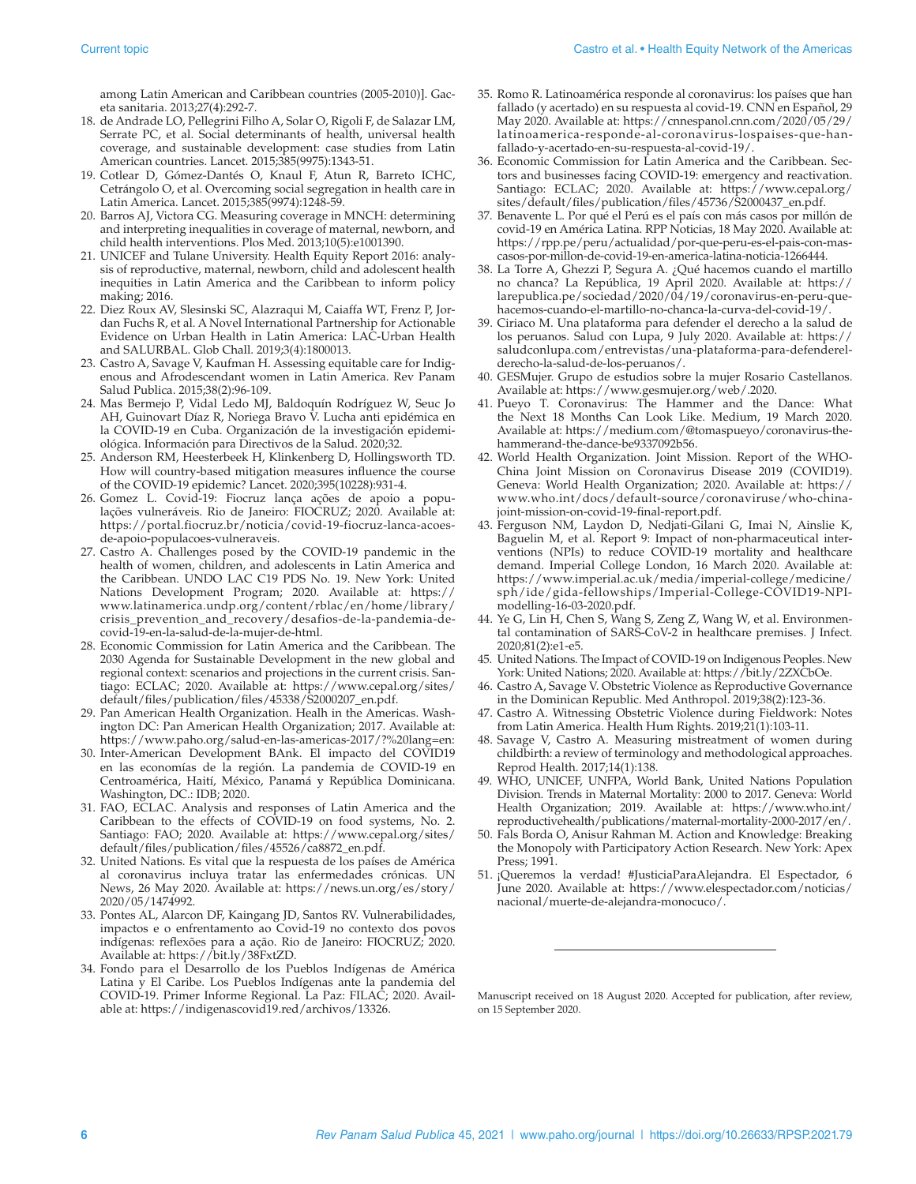among Latin American and Caribbean countries (2005-2010)]. Gaceta sanitaria. 2013;27(4):292-7.

- 18. de Andrade LO, Pellegrini Filho A, Solar O, Rigoli F, de Salazar LM, Serrate PC, et al. Social determinants of health, universal health coverage, and sustainable development: case studies from Latin American countries. Lancet. 2015;385(9975):1343-51.
- 19. Cotlear D, Gómez-Dantés O, Knaul F, Atun R, Barreto ICHC, Cetrángolo O, et al. Overcoming social segregation in health care in Latin America. Lancet. 2015;385(9974):1248-59.
- 20. Barros AJ, Victora CG. Measuring coverage in MNCH: determining and interpreting inequalities in coverage of maternal, newborn, and child health interventions. Plos Med. 2013;10(5):e1001390.
- 21. UNICEF and Tulane University. Health Equity Report 2016: analysis of reproductive, maternal, newborn, child and adolescent health inequities in Latin America and the Caribbean to inform policy making; 2016.
- 22. Diez Roux AV, Slesinski SC, Alazraqui M, Caiaffa WT, Frenz P, Jordan Fuchs R, et al. A Novel International Partnership for Actionable Evidence on Urban Health in Latin America: LAC-Urban Health and SALURBAL. Glob Chall. 2019;3(4):1800013.
- 23. Castro A, Savage V, Kaufman H. Assessing equitable care for Indigenous and Afrodescendant women in Latin America. Rev Panam Salud Publica. 2015;38(2):96-109.
- 24. Mas Bermejo P, Vidal Ledo MJ, Baldoquín Rodríguez W, Seuc Jo AH, Guinovart Díaz R, Noriega Bravo V. Lucha anti epidémica en la COVID-19 en Cuba. Organización de la investigación epidemiológica. Información para Directivos de la Salud. 2020;32.
- 25. Anderson RM, Heesterbeek H, Klinkenberg D, Hollingsworth TD. How will country-based mitigation measures influence the course of the COVID-19 epidemic? Lancet. 2020;395(10228):931-4.
- 26. Gomez L. Covid-19: Fiocruz lança ações de apoio a populações vulneráveis. Rio de Janeiro: FIOCRUZ; 2020. Available at: [https://portal.fiocruz.br/noticia/covid-19-fiocruz-lanca-acoes](https://portal.fiocruz.br/noticia/covid-19-fiocruz-lanca-acoes-de-apoio-populacoes-vulneraveis)[de-apoio-populacoes-vulneraveis](https://portal.fiocruz.br/noticia/covid-19-fiocruz-lanca-acoes-de-apoio-populacoes-vulneraveis).
- 27. Castro A. Challenges posed by the COVID-19 pandemic in the health of women, children, and adolescents in Latin America and the Caribbean. UNDO LAC C19 PDS No. 19. New York: United Nations Development Program; 2020. Available at: [https://](https://www.latinamerica.undp.org/content/rblac/en/home/library/crisis_prevention_and_recovery/desafios-de-la-pandemia-de-covid-19-en-la-salud-de-la-mujer-de-html) [www.latinamerica.undp.org/content/rblac/en/home/library/](https://www.latinamerica.undp.org/content/rblac/en/home/library/crisis_prevention_and_recovery/desafios-de-la-pandemia-de-covid-19-en-la-salud-de-la-mujer-de-html) [crisis\\_prevention\\_and\\_recovery/desafios-de-la-pandemia-de](https://www.latinamerica.undp.org/content/rblac/en/home/library/crisis_prevention_and_recovery/desafios-de-la-pandemia-de-covid-19-en-la-salud-de-la-mujer-de-html)[covid-19-en-la-salud-de-la-mujer-de-html.](https://www.latinamerica.undp.org/content/rblac/en/home/library/crisis_prevention_and_recovery/desafios-de-la-pandemia-de-covid-19-en-la-salud-de-la-mujer-de-html)
- 28. Economic Commission for Latin America and the Caribbean. The 2030 Agenda for Sustainable Development in the new global and regional context: scenarios and projections in the current crisis. Santiago: ECLAC; 2020. Available at: [https://www.cepal.org/sites/](https://www.cepal.org/sites/default/files/publication/files/45338/S2000207_en.pdf) [default/files/publication/files/45338/S2000207\\_en.pdf](https://www.cepal.org/sites/default/files/publication/files/45338/S2000207_en.pdf).
- 29. Pan American Health Organization. Healh in the Americas. Washington DC: Pan American Health Organization; 2017. Available at: <https://www.paho.org/salud-en-las-americas-2017/?%20lang=en>:
- 30. Inter-American Development BAnk. El impacto del COVID19 en las economías de la región. La pandemia de COVID-19 en Centroamérica, Haití, México, Panamá y República Dominicana. Washington, DC.: IDB; 2020.
- 31. FAO, ECLAC. Analysis and responses of Latin America and the Caribbean to the effects of COVID-19 on food systems, No. 2. Santiago: FAO; 2020. Available at: [https://www.cepal.org/sites/](https://www.cepal.org/sites/default/files/publication/files/45526/ca8872_en.pdf) [default/files/publication/files/45526/ca8872\\_en.pdf.](https://www.cepal.org/sites/default/files/publication/files/45526/ca8872_en.pdf)
- 32. United Nations. Es vital que la respuesta de los países de América al coronavirus incluya tratar las enfermedades crónicas. UN News, 26 May 2020. Available at: [https://news.un.org/es/story/](https://news.un.org/es/story/2020/05/1474992) [2020/05/1474992.](https://news.un.org/es/story/2020/05/1474992)
- 33. Pontes AL, Alarcon DF, Kaingang JD, Santos RV. Vulnerabilidades, impactos e o enfrentamento ao Covid-19 no contexto dos povos indígenas: reflexões para a ação. Rio de Janeiro: FIOCRUZ; 2020. Available at: <https://bit.ly/38FxtZD>.
- 34. Fondo para el Desarrollo de los Pueblos Indígenas de América Latina y El Caribe. Los Pueblos Indígenas ante la pandemia del COVID-19. Primer Informe Regional. La Paz: FILAC; 2020. Available at:<https://indigenascovid19.red/archivos/13326>.
- 35. Romo R. Latinoamérica responde al coronavirus: los países que han fallado (y acertado) en su respuesta al covid-19. CNN en Español, 29 May 2020. Available at: [https://cnnespanol.cnn.com/2020/05/29/](https://cnnespanol.cnn.com/2020/05/29/latinoamerica-responde-al-coronavirus-lospaises-que-han-fallado-y-acertado-en-su-respuesta-al-covid-19/) [latinoamerica-responde-al-coronavirus-lospaises-que-han](https://cnnespanol.cnn.com/2020/05/29/latinoamerica-responde-al-coronavirus-lospaises-que-han-fallado-y-acertado-en-su-respuesta-al-covid-19/)[fallado-y-acertado-en-su-respuesta-al-covid-19/](https://cnnespanol.cnn.com/2020/05/29/latinoamerica-responde-al-coronavirus-lospaises-que-han-fallado-y-acertado-en-su-respuesta-al-covid-19/).
- 36. Economic Commission for Latin America and the Caribbean. Sectors and businesses facing COVID-19: emergency and reactivation. Santiago: ECLAC; 2020. Available at: [https://www.cepal.org/](https://www.cepal.org/sites/default/files/publication/files/45736/S2000437_en.pdf) [sites/default/files/publication/files/45736/S2000437\\_en.pdf](https://www.cepal.org/sites/default/files/publication/files/45736/S2000437_en.pdf).
- 37. Benavente L. Por qué el Perú es el país con más casos por millón de covid-19 en América Latina. RPP Noticias, 18 May 2020. Available at: [https://rpp.pe/peru/actualidad/por-que-peru-es-el-pais-con-mas](https://rpp.pe/peru/actualidad/por-que-peru-es-el-pais-con-mas-casos-por-millon-de-covid-19-en-america-latina-noticia-1266444)[casos-por-millon-de-covid-19-en-america-latina-noticia-1266444.](https://rpp.pe/peru/actualidad/por-que-peru-es-el-pais-con-mas-casos-por-millon-de-covid-19-en-america-latina-noticia-1266444)
- 38. La Torre A, Ghezzi P, Segura A. ¿Qué hacemos cuando el martillo no chanca? La República, 19 April 2020. Available at: [https://](https://larepublica.pe/sociedad/2020/04/19/coronavirus-en-peru-que-hacemos-cuando-el-martillo-no-chanca-la-curva-del-covid-19) [larepublica.pe/sociedad/2020/04/19/coronavirus-en-peru-que](https://larepublica.pe/sociedad/2020/04/19/coronavirus-en-peru-que-hacemos-cuando-el-martillo-no-chanca-la-curva-del-covid-19)[hacemos-cuando-el-martillo-no-chanca-la-curva-del-covid-19](https://larepublica.pe/sociedad/2020/04/19/coronavirus-en-peru-que-hacemos-cuando-el-martillo-no-chanca-la-curva-del-covid-19)/.
- 39. Ciriaco M. Una plataforma para defender el derecho a la salud de los peruanos. Salud con Lupa, 9 July 2020. Available at: [https://](https://saludconlupa.com/entrevistas/una-plataforma-para-defenderel-derecho-la-salud-de-los-peruanos/) [saludconlupa.com/entrevistas/una-plataforma-para-defenderel](https://saludconlupa.com/entrevistas/una-plataforma-para-defenderel-derecho-la-salud-de-los-peruanos/)[derecho-la-salud-de-los-peruanos/](https://saludconlupa.com/entrevistas/una-plataforma-para-defenderel-derecho-la-salud-de-los-peruanos/).
- 40. GESMujer. Grupo de estudios sobre la mujer Rosario Castellanos. Available at: [https://www.gesmujer.org/web/.2020.](https://www.gesmujer.org/web/.2020)
- 41. Pueyo T. Coronavirus: The Hammer and the Dance: What the Next 18 Months Can Look Like. Medium, 19 March 2020. Available at: [https://medium.com/@tomaspueyo/coronavirus-the](https://medium.com/@tomaspueyo/coronavirus-the-hammerand-the-dance-be9337092b56)[hammerand-the-dance-be9337092b56.](https://medium.com/@tomaspueyo/coronavirus-the-hammerand-the-dance-be9337092b56)
- 42. World Health Organization. Joint Mission. Report of the WHO-China Joint Mission on Coronavirus Disease 2019 (COVID19). Geneva: World Health Organization; 2020. Available at: [https://](https://www.who.int/docs/default-source/coronaviruse/who-china-joint-mission-on-covid-19-final-report.pdf) [www.who.int/docs/default-source/coronaviruse/who-china](https://www.who.int/docs/default-source/coronaviruse/who-china-joint-mission-on-covid-19-final-report.pdf)[joint-mission-on-covid-19-final-report.pdf](https://www.who.int/docs/default-source/coronaviruse/who-china-joint-mission-on-covid-19-final-report.pdf).
- 43. Ferguson NM, Laydon D, Nedjati-Gilani G, Imai N, Ainslie K, Baguelin M, et al. Report 9: Impact of non-pharmaceutical interventions (NPIs) to reduce COVID-19 mortality and healthcare demand. Imperial College London, 16 March 2020. Available at: [https://www.imperial.ac.uk/media/imperial-college/medicine/](https://www.imperial.ac.uk/media/imperial-college/medicine/sph/ide/gida-fellowships/Imperial-College-COVID19-NPI-modelling-16-03-2020.pdf) [sph/ide/gida-fellowships/Imperial-College-COVID19-NPI](https://www.imperial.ac.uk/media/imperial-college/medicine/sph/ide/gida-fellowships/Imperial-College-COVID19-NPI-modelling-16-03-2020.pdf)[modelling-16-03-2020.pdf](https://www.imperial.ac.uk/media/imperial-college/medicine/sph/ide/gida-fellowships/Imperial-College-COVID19-NPI-modelling-16-03-2020.pdf).
- 44. Ye G, Lin H, Chen S, Wang S, Zeng Z, Wang W, et al. Environmental contamination of SARS-CoV-2 in healthcare premises. J Infect. 2020;81(2):e1-e5.
- 45. United Nations. The Impact of COVID-19 on Indigenous Peoples. New York: United Nations; 2020. Available at: [https://bit.ly/2ZXCbOe.](https://bit.ly/2ZXCbOe)
- 46. Castro A, Savage V. Obstetric Violence as Reproductive Governance in the Dominican Republic. Med Anthropol. 2019;38(2):123-36.
- 47. Castro A. Witnessing Obstetric Violence during Fieldwork: Notes from Latin America. Health Hum Rights. 2019;21(1):103-11.
- 48. Savage V, Castro A. Measuring mistreatment of women during childbirth: a review of terminology and methodological approaches. Reprod Health. 2017;14(1):138.
- 49. WHO, UNICEF, UNFPA, World Bank, United Nations Population Division. Trends in Maternal Mortality: 2000 to 2017. Geneva: World Health Organization; 2019. Available at: [https://www.who.int/](https://www.who.int/reproductivehealth/publications/maternal-mortality-2000-2017/en/) [reproductivehealth/publications/maternal-mortality-2000-2017/en/](https://www.who.int/reproductivehealth/publications/maternal-mortality-2000-2017/en/).
- 50. Fals Borda O, Anisur Rahman M. Action and Knowledge: Breaking the Monopoly with Participatory Action Research. New York: Apex Press; 1991.
- 51. ¡Queremos la verdad! #JusticiaParaAlejandra. El Espectador, 6 June 2020. Available at: [https://www.elespectador.com/noticias/](https://www.elespectador.com/noticias/nacional/muerte-de-alejandra-monocuco/) [nacional/muerte-de-alejandra-monocuco/.](https://www.elespectador.com/noticias/nacional/muerte-de-alejandra-monocuco/)

Manuscript received on 18 August 2020. Accepted for publication, after review, on 15 September 2020.